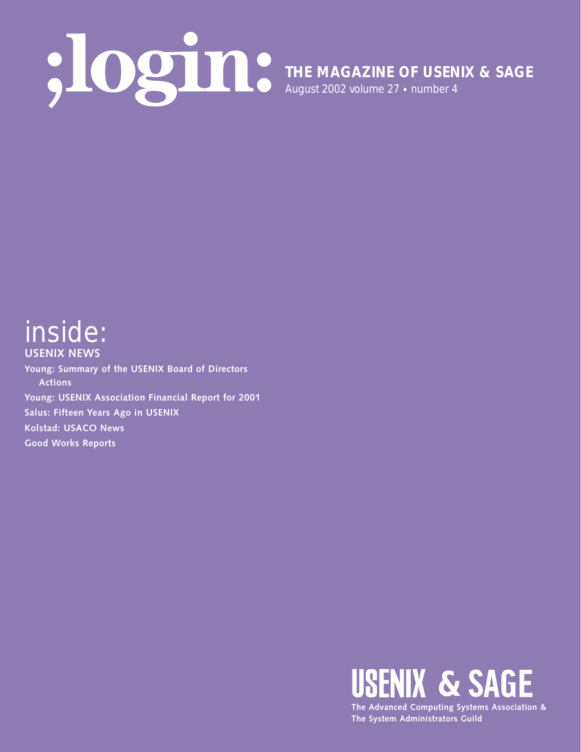## **THE MAGAZINE OF USENIX & SAGE** August 2002 volume 27 • number 4

### inside: **USENIX NEWS**

**Young: Summary of the USENIX Board of Directors Actions Young: USENIX Association Financial Report for 2001 Salus: Fifteen Years Ago in USENIX Kolstad: USACO News Good Works Reports**



**The System Administrators Guild**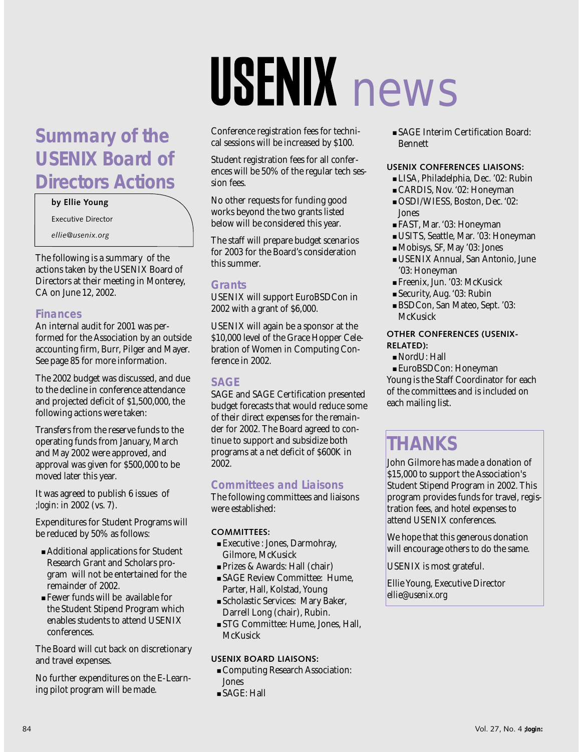### **Summary of the USENIX Board of Directors Actions**

### **by Ellie Young**

Executive Director

*ellie@usenix.org*

The following is a summary of the actions taken by the USENIX Board of Directors at their meeting in Monterey, CA on June 12, 2002.

### **Finances**

An internal audit for 2001 was performed for the Association by an outside accounting firm, Burr, Pilger and Mayer. See page 85 for more information.

The 2002 budget was discussed, and due to the decline in conference attendance and projected deficit of \$1,500,000, the following actions were taken:

Transfers from the reserve funds to the operating funds from January, March and May 2002 were approved, and approval was given for \$500,000 to be moved later this year.

It was agreed to publish 6 issues of *;login:* in 2002 (vs. 7).

Expenditures for Student Programs will be reduced by 50% as follows:

- Additional applications for Student Research Grant and Scholars program will not be entertained for the remainder of 2002.
- Fewer funds will be available for the Student Stipend Program which enables students to attend USENIX conferences.

The Board will cut back on discretionary and travel expenses.

No further expenditures on the E-Learning pilot program will be made.

# **USENIX** news

Conference registration fees for technical sessions will be increased by \$100.

Student registration fees for all conferences will be 50% of the regular tech session fees.

No other requests for funding good works beyond the two grants listed below will be considered this year.

The staff will prepare budget scenarios for 2003 for the Board's consideration this summer.

### **Grants**

USENIX will support EuroBSDCon in 2002 with a grant of \$6,000.

USENIX will again be a sponsor at the \$10,000 level of the Grace Hopper Celebration of Women in Computing Conference in 2002.

### **SAGE**

SAGE and SAGE Certification presented budget forecasts that would reduce some of their direct expenses for the remainder for 2002. The Board agreed to continue to support and subsidize both programs at a net deficit of \$600K in 2002.

### **Committees and Liaisons**

The following committees and liaisons were established:

### **COMMITTEES:**

- Executive : Jones, Darmohray, Gilmore, McKusick
- Prizes & Awards: Hall (chair)
- SAGE Review Committee: Hume, Parter, Hall, Kolstad, Young
- Scholastic Services: Mary Baker, Darrell Long (chair), Rubin.
- STG Committee: Hume, Jones, Hall, **McKusick**

### **USENIX BOARD LIAISONS:**

- Computing Research Association: Jones
- SAGE: Hall

■ SAGE Interim Certification Board: Bennett

### **USENIX CONFERENCES LIAISONS:**

- LISA, Philadelphia, Dec. '02: Rubin
- CARDIS, Nov. '02: Honeyman
- OSDI/WIESS, Boston, Dec. '02: Jones
- FAST, Mar. '03: Honeyman
- USITS, Seattle, Mar. '03: Honeyman
- Mobisys, SF, May '03: Jones
- USENIX Annual, San Antonio, June '03: Honeyman
- Freenix, Jun. '03: McKusick
- Security, Aug. '03: Rubin
- BSDCon, San Mateo, Sept. '03: **McKusick**

### **OTHER CONFERENCES (USENIX-RELATED):**

- NordU: Hall
- EuroBSDCon: Honeyman

Young is the Staff Coordinator for each of the committees and is included on each mailing list.

### **THANKS**

John Gilmore has made a donation of \$15,000 to support the Association's Student Stipend Program in 2002. This program provides funds for travel, registration fees, and hotel expenses to attend USENIX conferences.

We hope that this generous donation will encourage others to do the same.

USENIX is most grateful.

Ellie Young, Executive Director *ellie@usenix.org*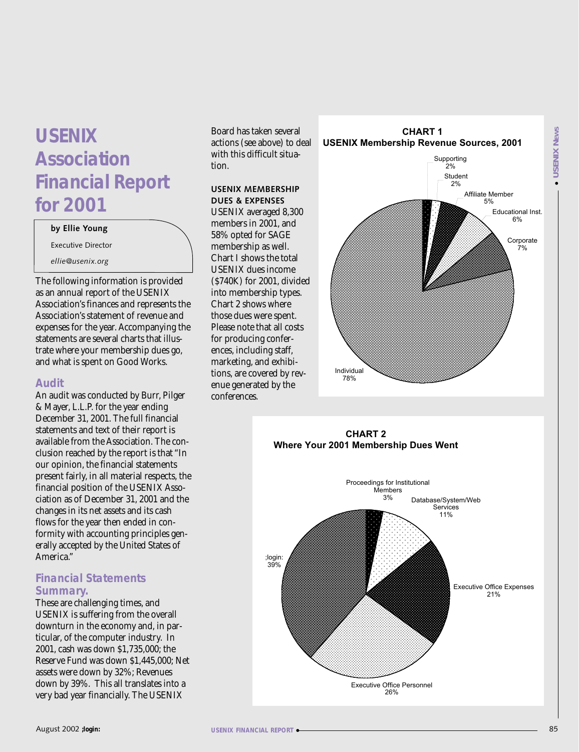### **USENIX Association Financial Report for 2001**

#### **by Ellie Young**

Executive Director

*ellie@usenix.org*

The following information is provided as an annual report of the USENIX Association's finances and represents the Association's statement of revenue and expenses for the year. Accompanying the statements are several charts that illustrate where your membership dues go, and what is spent on Good Works.

### **Audit**

An audit was conducted by Burr, Pilger & Mayer, L.L.P. for the year ending December 31, 2001. The full financial statements and text of their report is available from the Association. The conclusion reached by the report is that "In our opinion, the financial statements present fairly, in all material respects, the financial position of the USENIX Association as of December 31, 2001 and the changes in its net assets and its cash flows for the year then ended in conformity with accounting principles generally accepted by the United States of America."

### **Financial Statements Summary.**

These are challenging times, and USENIX is suffering from the overall downturn in the economy and, in particular, of the computer industry. In 2001, cash was down \$1,735,000; the Reserve Fund was down \$1,445,000; Net assets were down by 32%; Revenues down by 39%. This all translates into a very bad year financially. The USENIX

Board has taken several actions (see above) to deal with this difficult situation.

### **USENIX MEMBERSHIP DUES & EXPENSES**

USENIX averaged 8,300 members in 2001, and 58% opted for SAGE membership as well. Chart I shows the total USENIX dues income (\$740K) for 2001, divided into membership types. Chart 2 shows where those dues were spent. Please note that all costs for producing conferences, including staff, marketing, and exhibitions, are covered by revenue generated by the conferences.



### **CHART 2 Where Your 2001 Membership Dues Went**

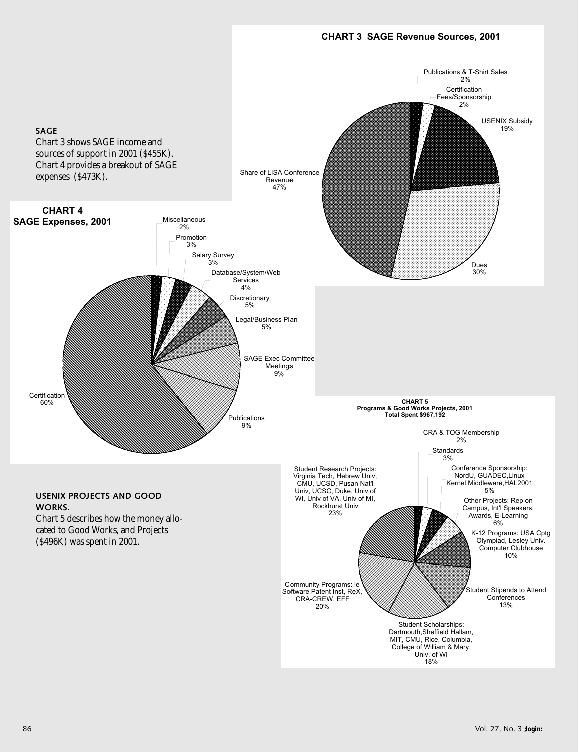### **CHART 3 SAGE Revenue Sources, 2001**

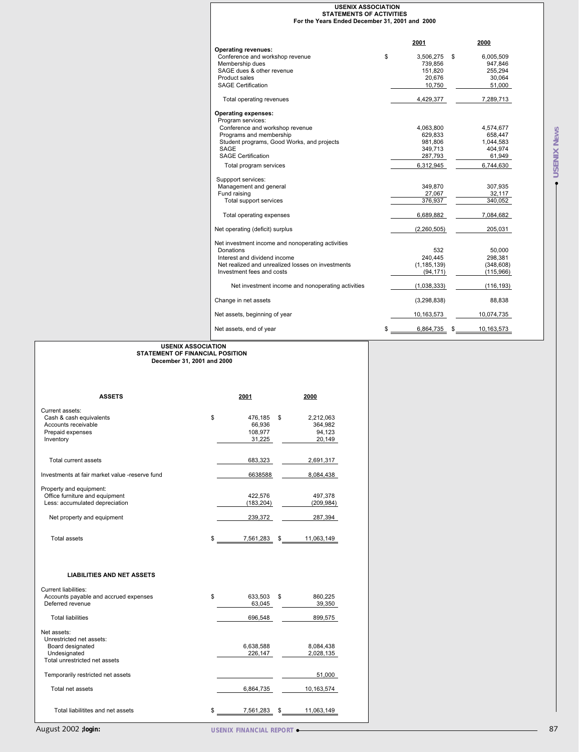|                                                                                                              | <b>USENIX ASSOCIATION</b><br><b>STATEMENTS OF ACTIVITIES</b><br>For the Years Ended December 31, 2001 and 2000                                                                               |                                                                                                                                                                   |
|--------------------------------------------------------------------------------------------------------------|----------------------------------------------------------------------------------------------------------------------------------------------------------------------------------------------|-------------------------------------------------------------------------------------------------------------------------------------------------------------------|
|                                                                                                              | <b>Operating revenues:</b><br>\$<br>Conference and workshop revenue<br>Membership dues<br>SAGE dues & other revenue<br>Product sales                                                         | 2001<br>2000<br>3,506,275 \$<br>6.005.509<br>739,856<br>947,846<br>255,294<br>151,820<br>20,676<br>30,064                                                         |
|                                                                                                              | <b>SAGE Certification</b>                                                                                                                                                                    | 10,750<br>51,000                                                                                                                                                  |
|                                                                                                              | Total operating revenues<br><b>Operating expenses:</b>                                                                                                                                       | 4,429,377<br>7,289,713                                                                                                                                            |
|                                                                                                              | Program services:<br>Conference and workshop revenue<br>Programs and membership<br>Student programs, Good Works, and projects<br>SAGE<br><b>SAGE Certification</b><br>Total program services | 4,063,800<br>4,574,677<br><b>NEWS</b><br>629,833<br>658,447<br>981,806<br>1,044,583<br>349,713<br>404,974<br>SENIX<br>287,793<br>61,949<br>6,312,945<br>6,744,630 |
|                                                                                                              | Suppport services:<br>Management and general<br>Fund raising<br>Total support services                                                                                                       | コ<br>349,870<br>307,935<br>27,067<br>32,117<br>340,052<br>376,937                                                                                                 |
|                                                                                                              | Total operating expenses                                                                                                                                                                     | 6,689,882<br>7,084,682                                                                                                                                            |
|                                                                                                              | Net operating (deficit) surplus                                                                                                                                                              | (2,260,505)<br>205,031                                                                                                                                            |
|                                                                                                              | Net investment income and nonoperating activities<br>Donations<br>Interest and dividend income<br>Net realized and unrealized losses on investments<br>Investment fees and costs             | 532<br>50,000<br>240,445<br>298,381<br>(1, 185, 139)<br>(348, 608)<br>(94, 171)<br>(115,966)                                                                      |
|                                                                                                              | Net investment income and nonoperating activities                                                                                                                                            | (1,038,333)<br>(116, 193)                                                                                                                                         |
|                                                                                                              | Change in net assets                                                                                                                                                                         | (3, 298, 838)<br>88,838                                                                                                                                           |
|                                                                                                              | Net assets, beginning of year                                                                                                                                                                | 10,074,735<br>10,163,573                                                                                                                                          |
|                                                                                                              | Net assets, end of year<br>\$                                                                                                                                                                | 6,864,735 \$<br>10,163,573                                                                                                                                        |
| <b>ASSETS</b><br>Current assets:                                                                             | 2000<br>2001                                                                                                                                                                                 |                                                                                                                                                                   |
| Cash & cash equivalents<br>Accounts receivable<br>Prepaid expenses<br>Inventory                              | \$<br>2,212,063<br>476,185 \$<br>66,936<br>364,982<br>108,977<br>94,123<br>31,225<br>20,149                                                                                                  |                                                                                                                                                                   |
| Total current assets                                                                                         | 683,323<br>2,691,317                                                                                                                                                                         |                                                                                                                                                                   |
| Investments at fair market value -reserve fund                                                               | 6638588<br>8,084,438                                                                                                                                                                         |                                                                                                                                                                   |
| Property and equipment:<br>Office furniture and equipment<br>Less: accumulated depreciation                  | 422,576<br>497,378<br>(183, 204)<br>(209, 984)                                                                                                                                               |                                                                                                                                                                   |
| Net property and equipment                                                                                   | 239,372<br>287,394                                                                                                                                                                           |                                                                                                                                                                   |
| Total assets                                                                                                 | 11,063,149<br>\$<br>7,561,283<br>\$                                                                                                                                                          |                                                                                                                                                                   |
| <b>LIABILITIES AND NET ASSETS</b>                                                                            |                                                                                                                                                                                              |                                                                                                                                                                   |
| Current liabilities:<br>Accounts payable and accrued expenses<br>Deferred revenue                            | 633,503 \$<br>860,225<br>\$<br>63,045<br>39,350                                                                                                                                              |                                                                                                                                                                   |
| <b>Total liabilities</b>                                                                                     | 696,548<br>899,575                                                                                                                                                                           |                                                                                                                                                                   |
| Net assets:<br>Unrestricted net assets:<br>Board designated<br>Undesignated<br>Total unrestricted net assets | 6,638,588<br>8,084,438<br>226,147<br>2,028,135                                                                                                                                               |                                                                                                                                                                   |
| Temporarily restricted net assets                                                                            | 51,000                                                                                                                                                                                       |                                                                                                                                                                   |
| Total net assets                                                                                             | 6,864,735<br>10,163,574                                                                                                                                                                      |                                                                                                                                                                   |
| Total liabilitites and net assets                                                                            | \$<br>7,561,283<br>11,063,149<br>\$                                                                                                                                                          |                                                                                                                                                                   |
| August 2002 ; login:                                                                                         | <b>USENIX FINANCIAL REPORT ·</b>                                                                                                                                                             | 87                                                                                                                                                                |

### **USENIX ASSOCIATION STATEMENT OF FINANCIAL POSITION December 31, 2001 and 2000**

| <b>ASSETS</b>                                                                                                             | 2001                                         | 2000                                           |
|---------------------------------------------------------------------------------------------------------------------------|----------------------------------------------|------------------------------------------------|
| Current assets:<br>Cash & cash equivalents<br>Accounts receivable<br>Prepaid expenses<br>Inventory                        | \$<br>476.185<br>66.936<br>108,977<br>31,225 | \$<br>2,212,063<br>364,982<br>94,123<br>20,149 |
| Total current assets                                                                                                      | 683,323                                      | 2,691,317                                      |
| Investments at fair market value -reserve fund                                                                            | 6638588                                      | 8,084,438                                      |
| Property and equipment:<br>Office furniture and equipment<br>Less: accumulated depreciation<br>Net property and equipment | 422.576<br>(183, 204)<br>239,372             | 497.378<br>(209, 984)<br>287,394               |
| <b>Total assets</b>                                                                                                       | \$<br>7,561,283                              | \$<br>11,063,149                               |
| <b>LIABILITIES AND NET ASSETS</b><br>Current liabilities:                                                                 |                                              |                                                |

| Current liabilities:<br>Accounts payable and accrued expenses<br>Deferred revenue                            | \$<br>633.503<br>63.045 | \$<br>860,225<br>39.350 |
|--------------------------------------------------------------------------------------------------------------|-------------------------|-------------------------|
| <b>Total liabilities</b>                                                                                     | 696.548                 | 899,575                 |
| Net assets:<br>Unrestricted net assets:<br>Board designated<br>Undesignated<br>Total unrestricted net assets | 6,638,588<br>226.147    | 8.084.438<br>2.028.135  |
| Temporarily restricted net assets<br>Total net assets                                                        | 6.864.735               | 51.000<br>10.163.574    |
| Total liabilitites and net assets                                                                            | \$<br>7.561.283         | \$<br>11.063.149        |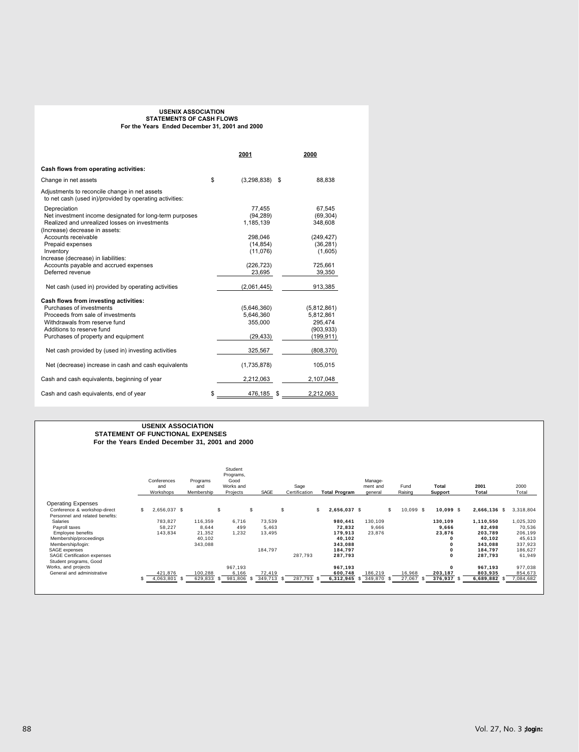### **USENIX ASSOCIATION STATEMENTS OF CASH FLOWS For the Years Ended December 31, 2001 and 2000**

|                                                                                                          | 2001                | 2000         |
|----------------------------------------------------------------------------------------------------------|---------------------|--------------|
| Cash flows from operating activities:                                                                    |                     |              |
| Change in net assets                                                                                     | \$<br>(3, 298, 838) | \$<br>88,838 |
| Adjustments to reconcile change in net assets<br>to net cash (used in)/provided by operating activities: |                     |              |
| Depreciation                                                                                             | 77,455              | 67.545       |
| Net investment income designated for long-term purposes                                                  | (94, 289)           | (69, 304)    |
| Realized and unrealized losses on investments<br>(Increase) decrease in assets:                          | 1,185,139           | 348,608      |
| Accounts receivable                                                                                      | 298.046             | (249, 427)   |
| Prepaid expenses                                                                                         | (14, 854)           | (36, 281)    |
| Inventory                                                                                                | (11,076)            | (1,605)      |
| Increase (decrease) in liabilities:                                                                      |                     |              |
| Accounts payable and accrued expenses                                                                    | (226, 723)          | 725,661      |
| Deferred revenue                                                                                         | 23,695              | 39,350       |
| Net cash (used in) provided by operating activities                                                      | (2,061,445)         | 913,385      |
| Cash flows from investing activities:                                                                    |                     |              |
| Purchases of investments                                                                                 | (5,646,360)         | (5,812,861)  |
| Proceeds from sale of investments                                                                        | 5,646,360           | 5,812,861    |
| Withdrawals from reserve fund                                                                            | 355,000             | 295,474      |
| Additions to reserve fund                                                                                |                     | (903, 933)   |
| Purchases of property and equipment                                                                      | (29, 433)           | (199, 911)   |
| Net cash provided by (used in) investing activities                                                      | 325,567             | (808, 370)   |
| Net (decrease) increase in cash and cash equivalents                                                     | (1,735,878)         | 105,015      |
| Cash and cash equivalents, beginning of year                                                             | 2,212,063           | 2,107,048    |
| Cash and cash equivalents, end of year                                                                   | \$<br>476,185 \$    | 2,212,063    |

#### **USENIX ASSOCIATION STATEMENT OF FUNCTIONAL EXPENSES For the Years Ended December 31, 2001 and 2000**

|                                 |    | Conferences<br>and<br>Workshops |      | Programs<br>and<br>Membership | Student<br>Programs,<br>Good<br>Works and<br>Projects |                 | SAGE    |     | Sage<br>Certification | <b>Total Program</b> |      | Manage-<br>ment and<br>general |     | Fund<br>Raising | Total<br><b>Support</b> |          | 2001<br>Total     | 2000<br>Total |
|---------------------------------|----|---------------------------------|------|-------------------------------|-------------------------------------------------------|-----------------|---------|-----|-----------------------|----------------------|------|--------------------------------|-----|-----------------|-------------------------|----------|-------------------|---------------|
| <b>Operating Expenses</b>       |    |                                 |      |                               |                                                       |                 |         |     |                       |                      |      |                                |     |                 |                         |          |                   |               |
| Conference & workshop-direct    | S. | 2,656,037 \$                    |      |                               | \$                                                    | \$              |         | \$  |                       | \$<br>2.656.037 \$   |      |                                | \$. | 10.099 S        |                         | 10.099 S | 2,666,136 \$      | 3,318,804     |
| Personnel and related benefits: |    |                                 |      |                               |                                                       |                 |         |     |                       |                      |      |                                |     |                 |                         |          |                   |               |
| Salaries                        |    | 783.827                         |      | 116.359                       |                                                       | 6.716           | 73.539  |     |                       | 980,441              |      | 130.109                        |     |                 | 130.109                 |          | 1,110,550         | 1,025,320     |
| Payroll taxes                   |    | 58,227                          |      | 8.644                         |                                                       | 499             | 5.463   |     |                       | 72,832               |      | 9.666                          |     |                 |                         | 9.666    | 82,498            | 70,536        |
| Employee benefits               |    | 143.834                         |      | 21.352                        |                                                       | 1,232           | 13.495  |     |                       | 179,913              |      | 23.876                         |     |                 | 23,876                  |          | 203.789           | 206,199       |
| Membership/proceedings          |    |                                 |      | 40,102                        |                                                       |                 |         |     |                       | 40,102               |      |                                |     |                 |                         | $\Omega$ | 40.102            | 45.613        |
| Membership/login:               |    |                                 |      | 343,088                       |                                                       |                 |         |     |                       | 343.088              |      |                                |     |                 |                         | ŋ        | 343.088           | 337.923       |
| SAGE expenses                   |    |                                 |      |                               |                                                       |                 | 184.797 |     |                       | 184,797              |      |                                |     |                 |                         | 0        | 184.797           | 186,627       |
| SAGE Certification expenses     |    |                                 |      |                               |                                                       |                 |         |     | 287.793               | 287,793              |      |                                |     |                 |                         | $\Omega$ | 287,793           | 61,949        |
| Student programs, Good          |    |                                 |      |                               |                                                       |                 |         |     |                       |                      |      |                                |     |                 |                         |          |                   |               |
| Works, and projects             |    |                                 |      |                               | 967.193                                               |                 |         |     |                       | 967,193              |      |                                |     |                 |                         | 0        | 967,193           | 977.038       |
| General and administrative      |    | 421.876                         |      | 100.288                       |                                                       | 6.166           | 72.419  |     |                       | 600,748              |      | 186.219                        |     | 16.968          | 203.187                 |          | 803.935           | 854,673       |
|                                 | s  | 4.063.801                       | - 55 | 629.833                       | -55                                                   | 981.806<br>- \$ | 349.713 | -35 | 287.793 \$            | 6.312.945            | - 55 | 349.870                        |     | 27.067<br>-S    | 376.937                 | - \$     | 6.689.882<br>- 55 | 7.084.682     |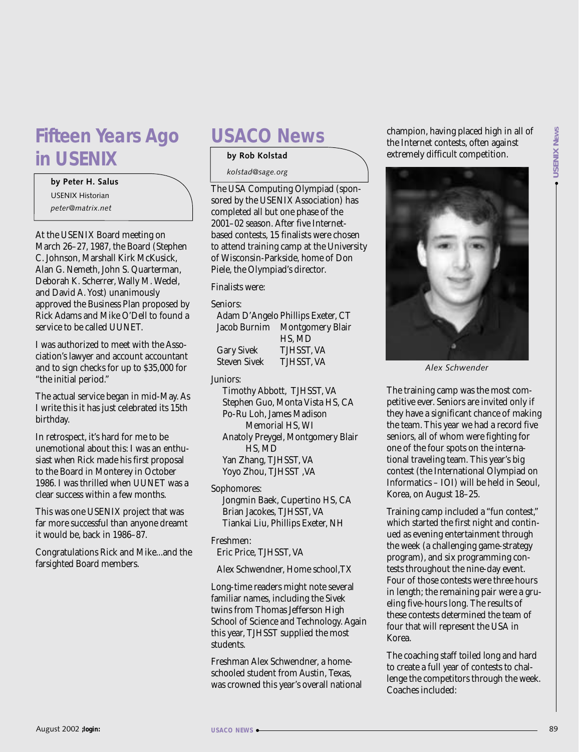### **Fifteen Years Ago in USENIX**

#### **by Peter H. Salus**

USENIX Historian *peter@matrix.net*

At the USENIX Board meeting on March 26–27, 1987, the Board (Stephen C. Johnson, Marshall Kirk McKusick, Alan G. Nemeth, John S. Quarterman, Deborah K. Scherrer, Wally M. Wedel, and David A. Yost) unanimously approved the Business Plan proposed by Rick Adams and Mike O'Dell to found a service to be called UUNET.

I was authorized to meet with the Association's lawyer and account accountant and to sign checks for up to \$35,000 for "the initial period."

The actual service began in mid-May. As I write this it has just celebrated its 15th birthday.

In retrospect, it's hard for me to be unemotional about this: I was an enthusiast when Rick made his first proposal to the Board in Monterey in October 1986. I was thrilled when UUNET was a clear success within a few months.

This was one USENIX project that was far more successful than anyone dreamt it would be, back in 1986–87.

Congratulations Rick and Mike...and the farsighted Board members.

### **USACO News**

### **by Rob Kolstad**

*kolstad@sage.org*

The USA Computing Olympiad (sponsored by the USENIX Association) has completed all but one phase of the 2001–02 season. After five Internetbased contests, 15 finalists were chosen to attend training camp at the University of Wisconsin-Parkside, home of Don Piele, the Olympiad's director.

#### Finalists were:

#### Seniors:

|                     | Adam D'Angelo Phillips Exeter, CT |
|---------------------|-----------------------------------|
|                     | Jacob Burnim Montgomery Blair     |
|                     | HS, MD                            |
| <b>Gary Sivek</b>   | TJHSST, VA                        |
| <b>Steven Sivek</b> | TJHSST, VA                        |

### Juniors:

Timothy Abbott, TJHSST, VA Stephen Guo, Monta Vista HS, CA Po-Ru Loh, James Madison Memorial HS, WI Anatoly Preygel, Montgomery Blair HS, MD Yan Zhang, TJHSST, VA Yoyo Zhou, TJHSST ,VA

Sophomores:

Jongmin Baek, Cupertino HS, CA Brian Jacokes, TJHSST, VA Tiankai Liu, Phillips Exeter, NH

### Freshmen:

Eric Price, TJHSST, VA

Alex Schwendner, Home school,TX

Long-time readers might note several familiar names, including the Sivek twins from Thomas Jefferson High School of Science and Technology. Again this year, TJHSST supplied the most students.

Freshman Alex Schwendner, a homeschooled student from Austin, Texas, was crowned this year's overall national champion, having placed high in all of the Internet contests, often against extremely difficult competition.



*Alex Schwender*

The training camp was the most competitive ever. Seniors are invited only if they have a significant chance of making the team. This year we had a record five seniors, all of whom were fighting for one of the four spots on the international traveling team. This year's big contest (the International Olympiad on Informatics – IOI) will be held in Seoul, Korea, on August 18–25.

Training camp included a "fun contest," which started the first night and continued as evening entertainment through the week (a challenging game-strategy program), and six programming contests throughout the nine-day event. Four of those contests were three hours in length; the remaining pair were a grueling five-hours long. The results of these contests determined the team of four that will represent the USA in Korea.

The coaching staff toiled long and hard to create a full year of contests to challenge the competitors through the week. Coaches included: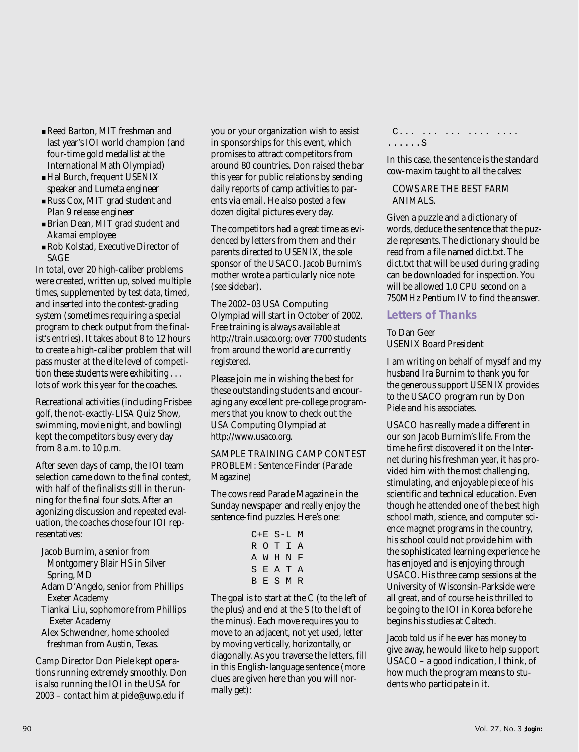- Reed Barton, MIT freshman and last year's IOI world champion (and four-time gold medallist at the International Math Olympiad)
- Hal Burch, frequent USENIX speaker and Lumeta engineer
- Russ Cox, MIT grad student and Plan 9 release engineer
- Brian Dean, MIT grad student and Akamai employee
- Rob Kolstad, Executive Director of SAGE

In total, over 20 high-caliber problems were created, written up, solved multiple times, supplemented by test data, timed, and inserted into the contest-grading system (sometimes requiring a special program to check output from the finalist's entries). It takes about 8 to 12 hours to create a high-caliber problem that will pass muster at the elite level of competition these students were exhibiting . . . lots of work this year for the coaches.

Recreational activities (including Frisbee golf, the not-exactly-LISA Quiz Show, swimming, movie night, and bowling) kept the competitors busy every day from 8 a.m. to 10 p.m.

After seven days of camp, the IOI team selection came down to the final contest, with half of the finalists still in the running for the final four slots. After an agonizing discussion and repeated evaluation, the coaches chose four IOI representatives:

- Jacob Burnim, a senior from Montgomery Blair HS in Silver Spring, MD
- Adam D'Angelo, senior from Phillips Exeter Academy
- Tiankai Liu, sophomore from Phillips Exeter Academy
- Alex Schwendner, home schooled freshman from Austin, Texas.

Camp Director Don Piele kept operations running extremely smoothly. Don is also running the IOI in the USA for 2003 – contact him at *piele@uwp.edu* if

you or your organization wish to assist in sponsorships for this event, which promises to attract competitors from around 80 countries. Don raised the bar this year for public relations by sending daily reports of camp activities to parents via email. He also posted a few dozen digital pictures every day.

The competitors had a great time as evidenced by letters from them and their parents directed to USENIX, the sole sponsor of the USACO. Jacob Burnim's mother wrote a particularly nice note (see sidebar).

The 2002–03 USA Computing Olympiad will start in October of 2002. Free training is always available at *<http://train.usaco.org>*; over 7700 students from around the world are currently registered.

Please join me in wishing the best for these outstanding students and encouraging any excellent pre-college programmers that you know to check out the USA Computing Olympiad at *<http://www.usaco.org>*.

SAMPLE TRAINING CAMP CONTEST PROBLEM: Sentence Finder (Parade Magazine)

The cows read Parade Magazine in the Sunday newspaper and really enjoy the sentence-find puzzles. Here's one:

|  | C+E S-L M |           |  |
|--|-----------|-----------|--|
|  |           | ROTIA     |  |
|  |           | A W H N F |  |
|  |           | SEATA     |  |
|  |           | BESMR     |  |

The goal is to start at the C (to the left of the plus) and end at the S (to the left of the minus). Each move requires you to move to an adjacent, not yet used, letter by moving vertically, horizontally, or diagonally. As you traverse the letters, fill in this English-language sentence (more clues are given here than you will normally get):

C... ... ... .... .... ......S

In this case, the sentence is the standard cow-maxim taught to all the calves:

### COWS ARE THE BEST FARM ANIMALS.

Given a puzzle and a dictionary of words, deduce the sentence that the puzzle represents. The dictionary should be read from a file named dict.txt. The dict.txt that will be used during grading can be downloaded for inspection. You will be allowed 1.0 CPU second on a 750MHz Pentium IV to find the answer.

### **Letters of Thanks**

To Dan Geer USENIX Board President

I am writing on behalf of myself and my husband Ira Burnim to thank you for the generous support USENIX provides to the USACO program run by Don Piele and his associates.

USACO has really made a different in our son Jacob Burnim's life. From the time he first discovered it on the Internet during his freshman year, it has provided him with the most challenging, stimulating, and enjoyable piece of his scientific and technical education. Even though he attended one of the best high school math, science, and computer science magnet programs in the country, his school could not provide him with the sophisticated learning experience he has enjoyed and is enjoying through USACO. His three camp sessions at the University of Wisconsin-Parkside were all great, and of course he is thrilled to be going to the IOI in Korea before he begins his studies at Caltech.

Jacob told us if he ever has money to give away, he would like to help support USACO – a good indication, I think, of how much the program means to students who participate in it.